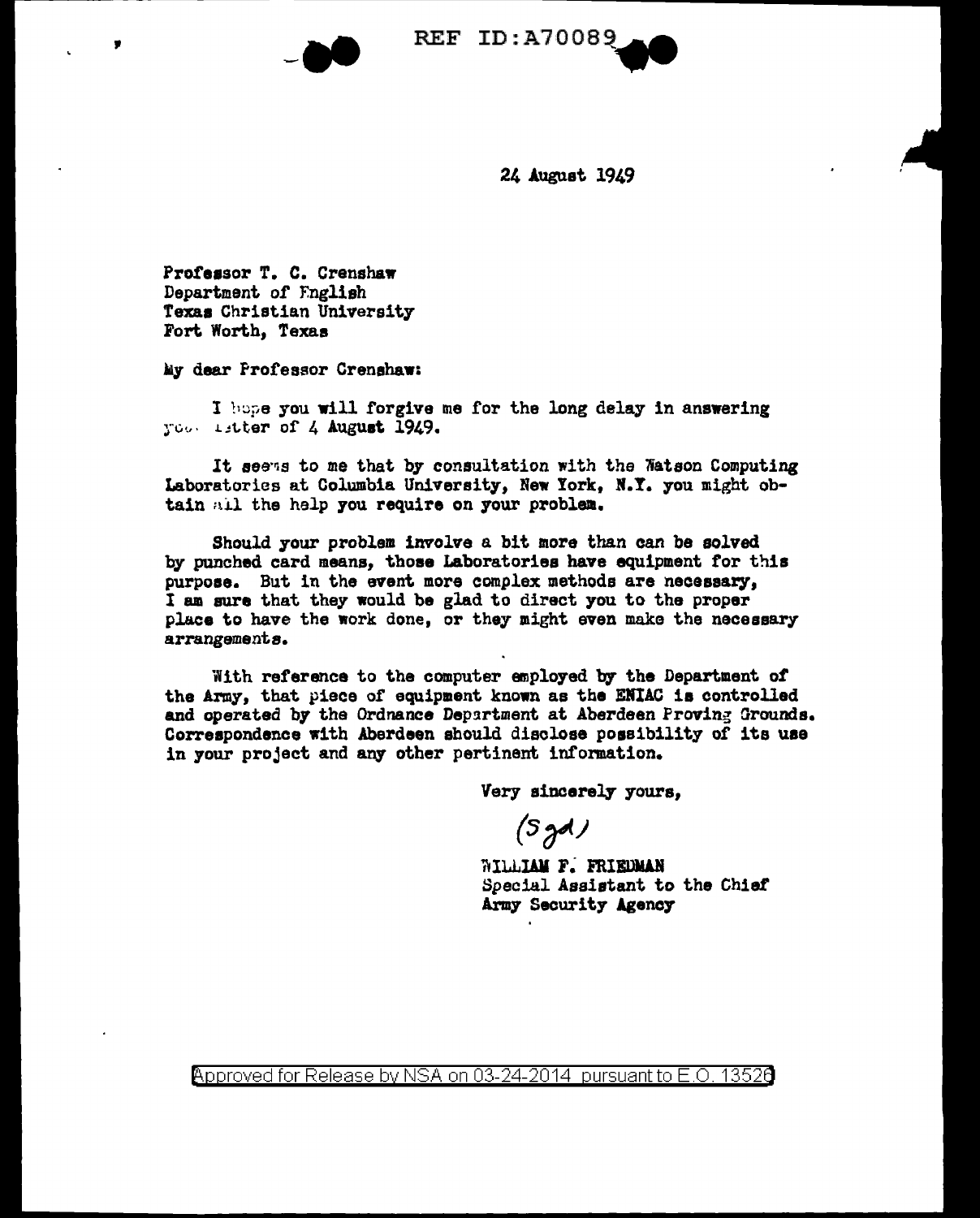

24 August 1949

Professor T. C. Crenshaw Department of English Texas Christian University Fort Worth, Texas

My dear Professor Crenshaw:

I hope you will forgive me for the long delay in answering Too. Litter of 4 August 1949.

It seens to me that by consultation with the Watson Computing Laboratories at Columbia University, New York, N.Y. you might obtain all the help you require on your problem.

Should your problem involve a bit more than can be solved by punched card means, those Laboratories have equipment for this purpose. But in the event more complex methods are necessary. I am sure that they would be glad to direct you to the proper place to have the work done, or they might even make the necessary arrangements.

With reference to the computer employed by the Department of the Army, that piece of equipment known as the ENIAC is controlled and operated by the Ordnance Department at Aberdeen Proving Grounds. Correspondence with Aberdeen should disclose possibility of its use in your project and any other pertinent information.

Very sincerely yours,

 $(5yd)$ 

WILLIAM F. FRIEDMAN Special Assistant to the Chief Army Security Agency

Approved for Release by NSA on 03-24-2014 pursuant to E.O. 13526